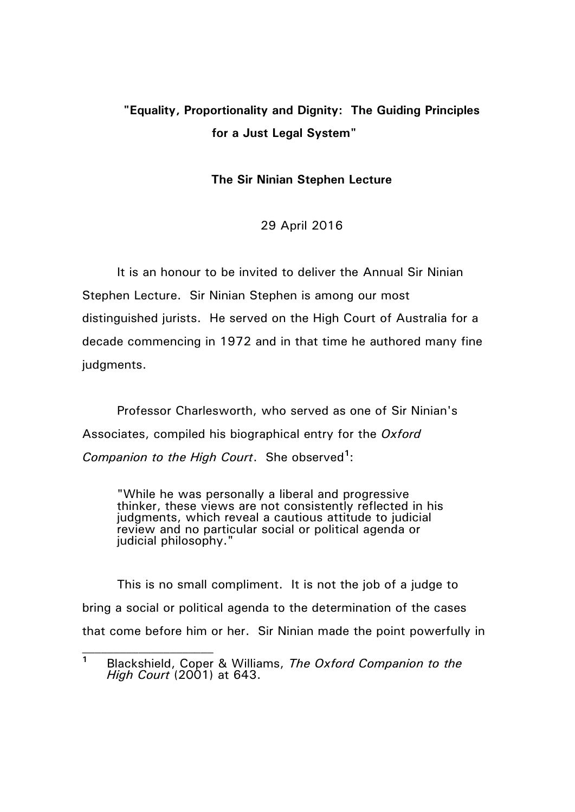## **"Equality, Proportionality and Dignity: The Guiding Principles for a Just Legal System"**

## **The Sir Ninian Stephen Lecture**

29 April 2016

It is an honour to be invited to deliver the Annual Sir Ninian Stephen Lecture. Sir Ninian Stephen is among our most distinguished jurists. He served on the High Court of Australia for a decade commencing in 1972 and in that time he authored many fine judgments.

Professor Charlesworth, who served as one of Sir Ninian's Associates, compiled his biographical entry for the *Oxford*  Companion to the High Court. She observed<sup>1</sup>:

"While he was personally a liberal and progressive thinker, these views are not consistently reflected in his judgments, which reveal a cautious attitude to judicial review and no particular social or political agenda or judicial philosophy."

This is no small compliment. It is not the job of a judge to bring a social or political agenda to the determination of the cases that come before him or her. Sir Ninian made the point powerfully in

**<sup>1</sup>** Blackshield, Coper & Williams, *The Oxford Companion to the High Court* (2001) at 643.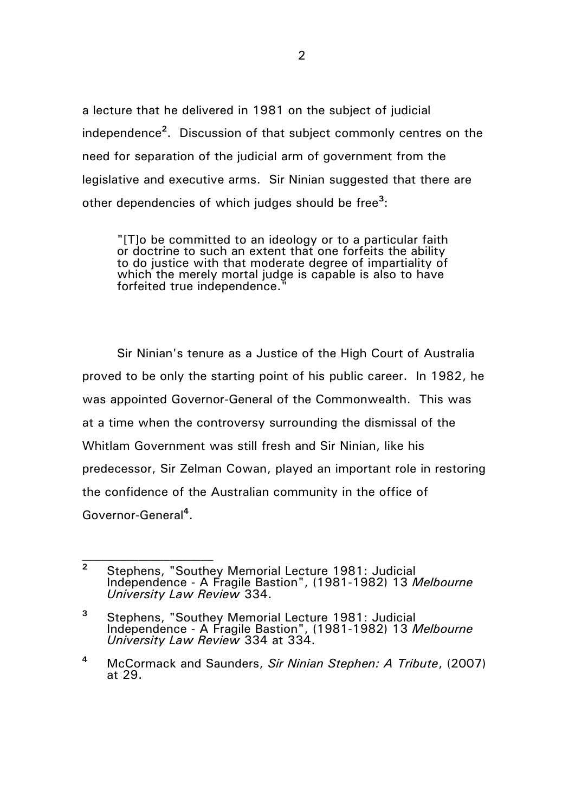a lecture that he delivered in 1981 on the subject of judicial independence**<sup>2</sup>** . Discussion of that subject commonly centres on the need for separation of the judicial arm of government from the legislative and executive arms. Sir Ninian suggested that there are other dependencies of which judges should be free**<sup>3</sup>** :

"[T]o be committed to an ideology or to a particular faith or doctrine to such an extent that one forfeits the ability to do justice with that moderate degree of impartiality of which the merely mortal judge is capable is also to have forfeited true independence.

Sir Ninian's tenure as a Justice of the High Court of Australia proved to be only the starting point of his public career. In 1982, he was appointed Governor-General of the Commonwealth. This was at a time when the controversy surrounding the dismissal of the Whitlam Government was still fresh and Sir Ninian, like his predecessor, Sir Zelman Cowan, played an important role in restoring the confidence of the Australian community in the office of Governor-General**<sup>4</sup>** .

**<sup>2</sup>** Stephens, "Southey Memorial Lecture 1981: Judicial Independence - A Fragile Bastion", (1981-1982) 13 *Melbourne University Law Review* 334.

**<sup>3</sup>** Stephens, "Southey Memorial Lecture 1981: Judicial Independence - A Fragile Bastion", (1981-1982) 13 *Melbourne University Law Review* 334 at 334.

**<sup>4</sup>** McCormack and Saunders, *Sir Ninian Stephen: A Tribute*, (2007) at 29.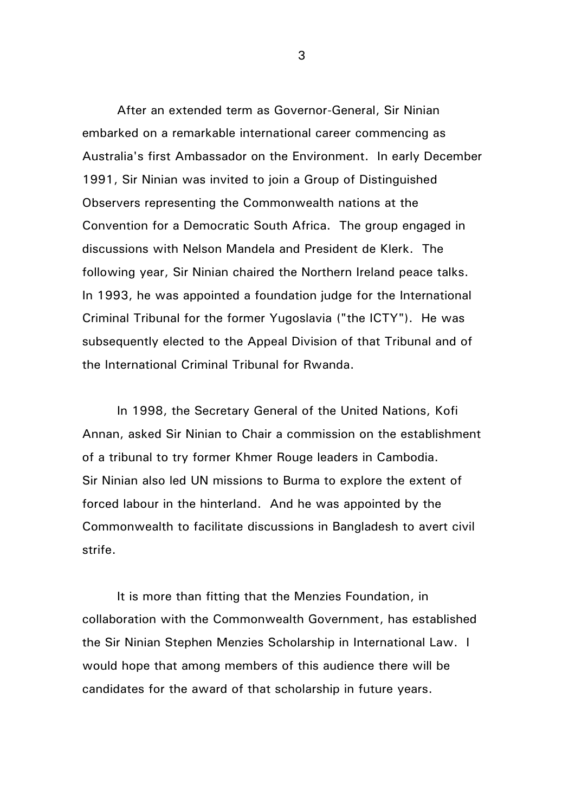After an extended term as Governor-General, Sir Ninian embarked on a remarkable international career commencing as Australia's first Ambassador on the Environment. In early December 1991, Sir Ninian was invited to join a Group of Distinguished Observers representing the Commonwealth nations at the Convention for a Democratic South Africa. The group engaged in discussions with Nelson Mandela and President de Klerk. The following year, Sir Ninian chaired the Northern Ireland peace talks. In 1993, he was appointed a foundation judge for the International Criminal Tribunal for the former Yugoslavia ("the ICTY"). He was subsequently elected to the Appeal Division of that Tribunal and of the International Criminal Tribunal for Rwanda.

In 1998, the Secretary General of the United Nations, Kofi Annan, asked Sir Ninian to Chair a commission on the establishment of a tribunal to try former Khmer Rouge leaders in Cambodia. Sir Ninian also led UN missions to Burma to explore the extent of forced labour in the hinterland. And he was appointed by the Commonwealth to facilitate discussions in Bangladesh to avert civil strife.

It is more than fitting that the Menzies Foundation, in collaboration with the Commonwealth Government, has established the Sir Ninian Stephen Menzies Scholarship in International Law. I would hope that among members of this audience there will be candidates for the award of that scholarship in future years.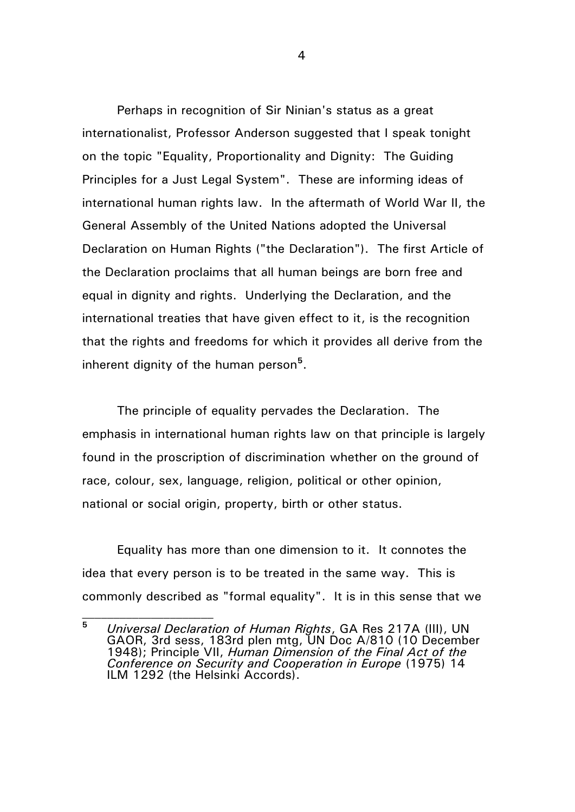Perhaps in recognition of Sir Ninian's status as a great internationalist, Professor Anderson suggested that I speak tonight on the topic "Equality, Proportionality and Dignity: The Guiding Principles for a Just Legal System". These are informing ideas of international human rights law. In the aftermath of World War II, the General Assembly of the United Nations adopted the Universal Declaration on Human Rights ("the Declaration"). The first Article of the Declaration proclaims that all human beings are born free and equal in dignity and rights. Underlying the Declaration, and the international treaties that have given effect to it, is the recognition that the rights and freedoms for which it provides all derive from the inherent dignity of the human person**<sup>5</sup>** .

The principle of equality pervades the Declaration. The emphasis in international human rights law on that principle is largely found in the proscription of discrimination whether on the ground of race, colour, sex, language, religion, political or other opinion, national or social origin, property, birth or other status.

Equality has more than one dimension to it. It connotes the idea that every person is to be treated in the same way. This is commonly described as "formal equality". It is in this sense that we

**<sup>5</sup>** *Universal Declaration of Human Rights*, GA Res 217A (III), UN GAOR, 3rd sess, 183rd plen mtg, UN Doc A/810 (10 December 1948); Principle VII, *Human Dimension of the Final Act of the Conference on Security and Cooperation in Europe* (1975) 14 ILM 1292 (the Helsinki Accords).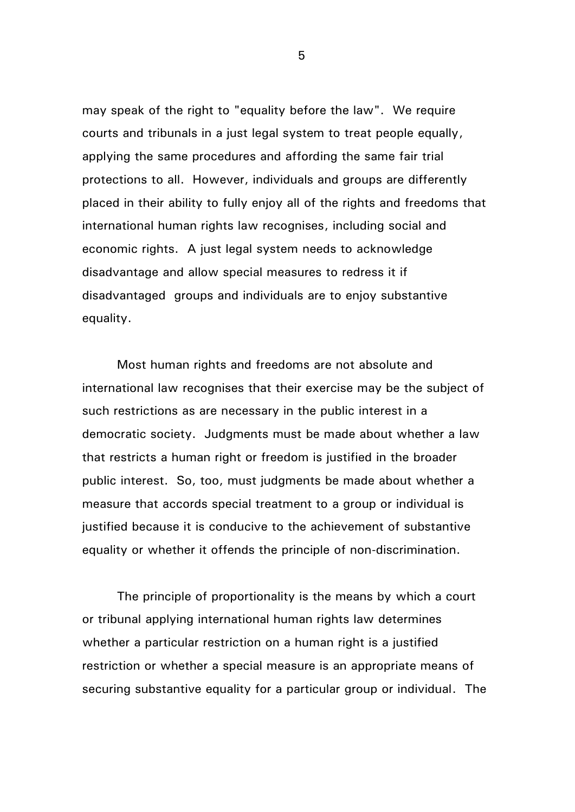may speak of the right to "equality before the law". We require courts and tribunals in a just legal system to treat people equally, applying the same procedures and affording the same fair trial protections to all. However, individuals and groups are differently placed in their ability to fully enjoy all of the rights and freedoms that international human rights law recognises, including social and economic rights. A just legal system needs to acknowledge disadvantage and allow special measures to redress it if disadvantaged groups and individuals are to enjoy substantive equality.

Most human rights and freedoms are not absolute and international law recognises that their exercise may be the subject of such restrictions as are necessary in the public interest in a democratic society. Judgments must be made about whether a law that restricts a human right or freedom is justified in the broader public interest. So, too, must judgments be made about whether a measure that accords special treatment to a group or individual is justified because it is conducive to the achievement of substantive equality or whether it offends the principle of non-discrimination.

The principle of proportionality is the means by which a court or tribunal applying international human rights law determines whether a particular restriction on a human right is a justified restriction or whether a special measure is an appropriate means of securing substantive equality for a particular group or individual. The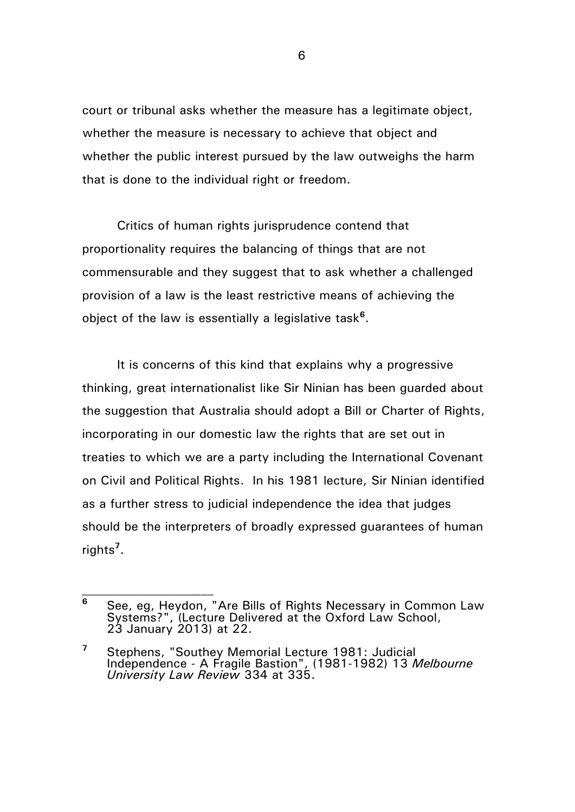court or tribunal asks whether the measure has a legitimate object, whether the measure is necessary to achieve that object and whether the public interest pursued by the law outweighs the harm that is done to the individual right or freedom.

Critics of human rights jurisprudence contend that proportionality requires the balancing of things that are not commensurable and they suggest that to ask whether a challenged provision of a law is the least restrictive means of achieving the object of the law is essentially a legislative task**<sup>6</sup>** .

It is concerns of this kind that explains why a progressive thinking, great internationalist like Sir Ninian has been guarded about the suggestion that Australia should adopt a Bill or Charter of Rights, incorporating in our domestic law the rights that are set out in treaties to which we are a party including the International Covenant on Civil and Political Rights. In his 1981 lecture, Sir Ninian identified as a further stress to judicial independence the idea that judges should be the interpreters of broadly expressed guarantees of human rights**<sup>7</sup>** .

**<sup>6</sup>** See, eg, Heydon, "Are Bills of Rights Necessary in Common Law Systems?", (Lecture Delivered at the Oxford Law School, 23 January 2013) at 22.

**<sup>7</sup>** Stephens, "Southey Memorial Lecture 1981: Judicial Independence - A Fragile Bastion", (1981-1982) 13 *Melbourne University Law Review* 334 at 335.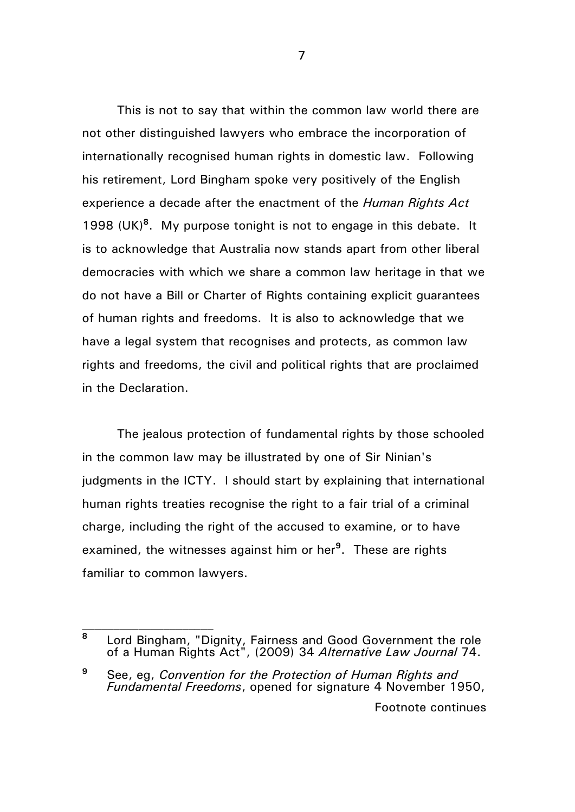This is not to say that within the common law world there are not other distinguished lawyers who embrace the incorporation of internationally recognised human rights in domestic law. Following his retirement, Lord Bingham spoke very positively of the English experience a decade after the enactment of the *Human Rights Act* 1998 (UK)**<sup>8</sup>** . My purpose tonight is not to engage in this debate. It is to acknowledge that Australia now stands apart from other liberal democracies with which we share a common law heritage in that we do not have a Bill or Charter of Rights containing explicit guarantees of human rights and freedoms. It is also to acknowledge that we have a legal system that recognises and protects, as common law rights and freedoms, the civil and political rights that are proclaimed in the Declaration.

The jealous protection of fundamental rights by those schooled in the common law may be illustrated by one of Sir Ninian's judgments in the ICTY. I should start by explaining that international human rights treaties recognise the right to a fair trial of a criminal charge, including the right of the accused to examine, or to have examined, the witnesses against him or her**<sup>9</sup>** . These are rights familiar to common lawyers.

**<sup>9</sup>** See, eg, *Convention for the Protection of Human Rights and Fundamental Freedoms*, opened for signature 4 November 1950,

Footnote continues

**<sup>8</sup>** Lord Bingham, "Dignity, Fairness and Good Government the role of a Human Rights Act", (2009) 34 *Alternative Law Journal* 74.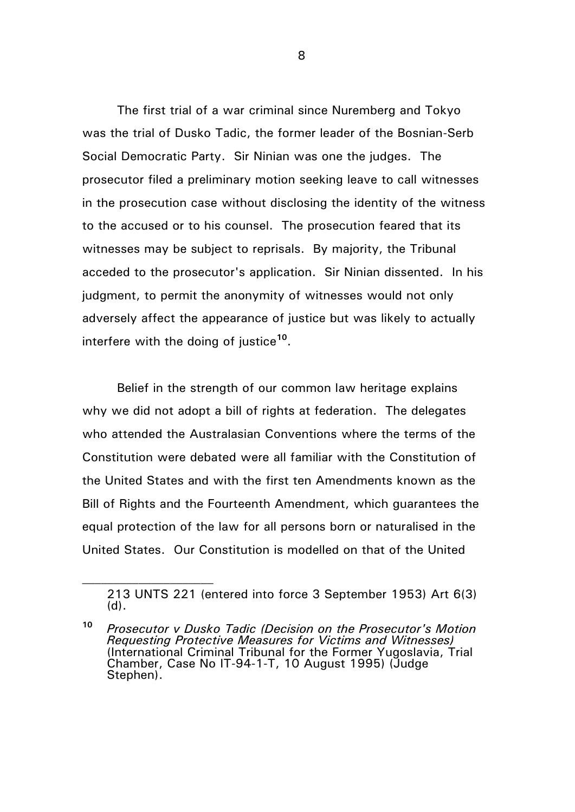The first trial of a war criminal since Nuremberg and Tokyo was the trial of Dusko Tadic, the former leader of the Bosnian-Serb Social Democratic Party. Sir Ninian was one the judges. The prosecutor filed a preliminary motion seeking leave to call witnesses in the prosecution case without disclosing the identity of the witness to the accused or to his counsel. The prosecution feared that its witnesses may be subject to reprisals. By majority, the Tribunal acceded to the prosecutor's application. Sir Ninian dissented. In his judgment, to permit the anonymity of witnesses would not only adversely affect the appearance of justice but was likely to actually interfere with the doing of justice**<sup>10</sup>** .

Belief in the strength of our common law heritage explains why we did not adopt a bill of rights at federation. The delegates who attended the Australasian Conventions where the terms of the Constitution were debated were all familiar with the Constitution of the United States and with the first ten Amendments known as the Bill of Rights and the Fourteenth Amendment, which guarantees the equal protection of the law for all persons born or naturalised in the United States. Our Constitution is modelled on that of the United

<sup>213</sup> UNTS 221 (entered into force 3 September 1953) Art 6(3) (d).

**<sup>10</sup>** *Prosecutor v Dusko Tadic (Decision on the Prosecutor's Motion Requesting Protective Measures for Victims and Witnesses)*  (International Criminal Tribunal for the Former Yugoslavia, Trial Chamber, Case No IT-94-1-T, 10 August 1995) (Judge Stephen).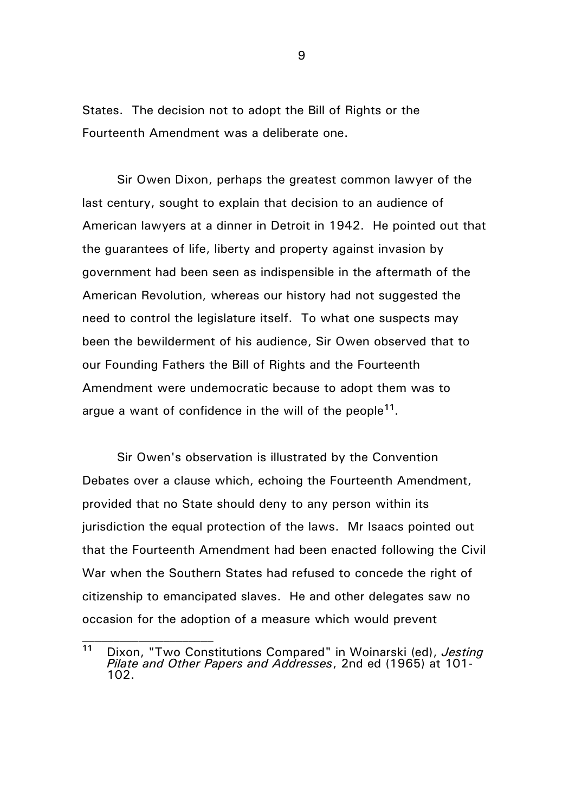States. The decision not to adopt the Bill of Rights or the Fourteenth Amendment was a deliberate one.

Sir Owen Dixon, perhaps the greatest common lawyer of the last century, sought to explain that decision to an audience of American lawyers at a dinner in Detroit in 1942. He pointed out that the guarantees of life, liberty and property against invasion by government had been seen as indispensible in the aftermath of the American Revolution, whereas our history had not suggested the need to control the legislature itself. To what one suspects may been the bewilderment of his audience, Sir Owen observed that to our Founding Fathers the Bill of Rights and the Fourteenth Amendment were undemocratic because to adopt them was to argue a want of confidence in the will of the people**<sup>11</sup>** .

Sir Owen's observation is illustrated by the Convention Debates over a clause which, echoing the Fourteenth Amendment, provided that no State should deny to any person within its jurisdiction the equal protection of the laws. Mr Isaacs pointed out that the Fourteenth Amendment had been enacted following the Civil War when the Southern States had refused to concede the right of citizenship to emancipated slaves. He and other delegates saw no occasion for the adoption of a measure which would prevent

**<sup>11</sup>** Dixon, "Two Constitutions Compared" in Woinarski (ed), *Jesting Pilate and Other Papers and Addresses*, 2nd ed (1965) at 101- 102.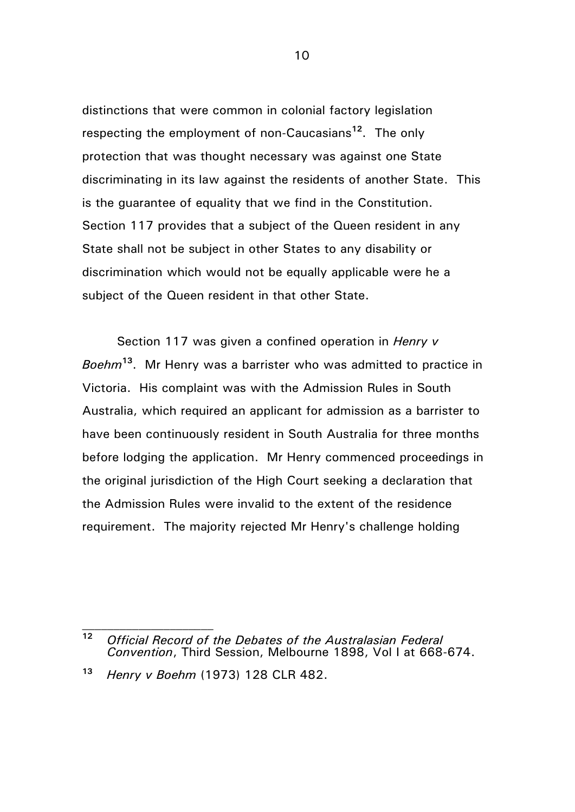distinctions that were common in colonial factory legislation respecting the employment of non-Caucasians**<sup>12</sup>** . The only protection that was thought necessary was against one State discriminating in its law against the residents of another State. This is the guarantee of equality that we find in the Constitution. Section 117 provides that a subject of the Queen resident in any State shall not be subject in other States to any disability or discrimination which would not be equally applicable were he a subject of the Queen resident in that other State.

Section 117 was given a confined operation in *Henry v Boehm***<sup>13</sup>** . Mr Henry was a barrister who was admitted to practice in Victoria. His complaint was with the Admission Rules in South Australia, which required an applicant for admission as a barrister to have been continuously resident in South Australia for three months before lodging the application. Mr Henry commenced proceedings in the original jurisdiction of the High Court seeking a declaration that the Admission Rules were invalid to the extent of the residence requirement. The majority rejected Mr Henry's challenge holding

**<sup>12</sup>** *Official Record of the Debates of the Australasian Federal Convention*, Third Session, Melbourne 1898, Vol I at 668-674.

**<sup>13</sup>** *Henry v Boehm* (1973) 128 CLR 482.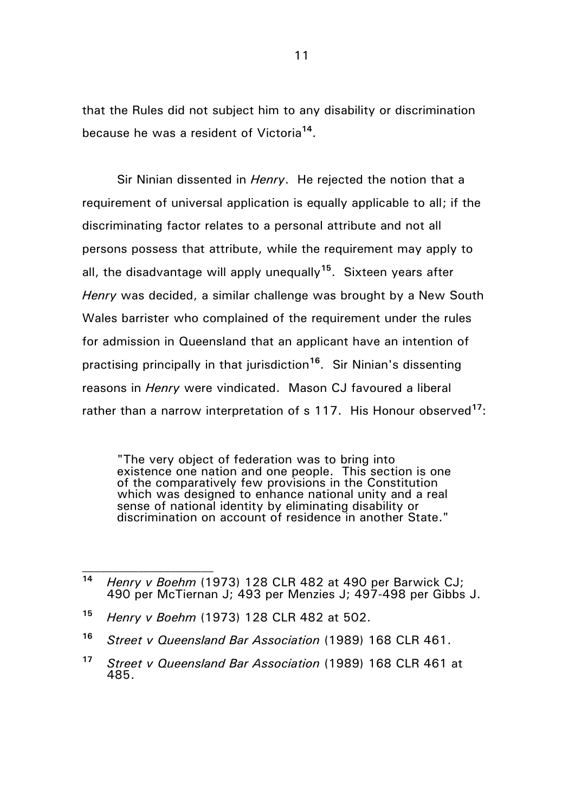that the Rules did not subject him to any disability or discrimination because he was a resident of Victoria**<sup>14</sup>** .

Sir Ninian dissented in *Henry*. He rejected the notion that a requirement of universal application is equally applicable to all; if the discriminating factor relates to a personal attribute and not all persons possess that attribute, while the requirement may apply to all, the disadvantage will apply unequally**<sup>15</sup>**. Sixteen years after *Henry* was decided, a similar challenge was brought by a New South Wales barrister who complained of the requirement under the rules for admission in Queensland that an applicant have an intention of practising principally in that jurisdiction**<sup>16</sup>** . Sir Ninian's dissenting reasons in *Henry* were vindicated. Mason CJ favoured a liberal rather than a narrow interpretation of s 117. His Honour observed**<sup>17</sup>**:

"The very object of federation was to bring into existence one nation and one people. This section is one of the comparatively few provisions in the Constitution which was designed to enhance national unity and a real sense of national identity by eliminating disability or discrimination on account of residence in another State."

- **<sup>15</sup>** *Henry v Boehm* (1973) 128 CLR 482 at 502.
- **<sup>16</sup>** *Street v Queensland Bar Association* (1989) 168 CLR 461.

**<sup>14</sup>** *Henry v Boehm* (1973) 128 CLR 482 at 490 per Barwick CJ; 490 per McTiernan J; 493 per Menzies J; 497-498 per Gibbs J.

**<sup>17</sup>** *Street v Queensland Bar Association* (1989) 168 CLR 461 at 485.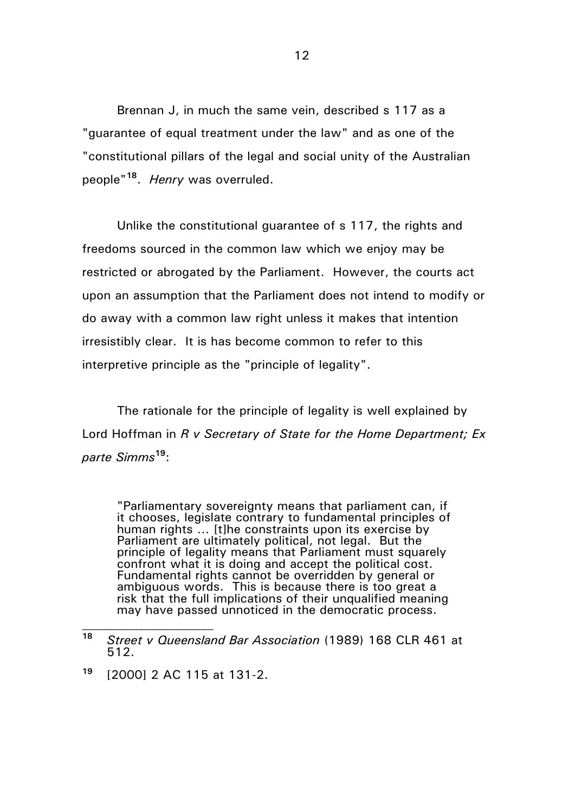Brennan J, in much the same vein, described s 117 as a "guarantee of equal treatment under the law" and as one of the "constitutional pillars of the legal and social unity of the Australian people" **18** . *Henry* was overruled.

Unlike the constitutional guarantee of s 117, the rights and freedoms sourced in the common law which we enjoy may be restricted or abrogated by the Parliament. However, the courts act upon an assumption that the Parliament does not intend to modify or do away with a common law right unless it makes that intention irresistibly clear. It is has become common to refer to this interpretive principle as the "principle of legality".

The rationale for the principle of legality is well explained by Lord Hoffman in *R v Secretary of State for the Home Department; Ex parte Simms***<sup>19</sup>**:

"Parliamentary sovereignty means that parliament can, if it chooses, legislate contrary to fundamental principles of human rights … [t]he constraints upon its exercise by Parliament are ultimately political, not legal. But the principle of legality means that Parliament must squarely confront what it is doing and accept the political cost. Fundamental rights cannot be overridden by general or ambiguous words. This is because there is too great a risk that the full implications of their unqualified meaning may have passed unnoticed in the democratic process.

**<sup>18</sup>** *Street v Queensland Bar Association* (1989) 168 CLR 461 at 512.

**<sup>19</sup>** [2000] 2 AC 115 at 131-2.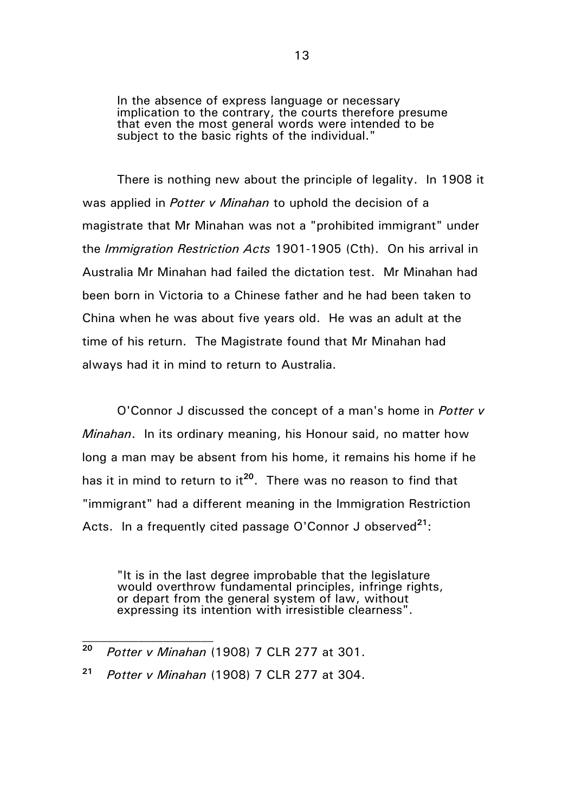In the absence of express language or necessary implication to the contrary, the courts therefore presume that even the most general words were intended to be subject to the basic rights of the individual.'

There is nothing new about the principle of legality. In 1908 it was applied in *Potter v Minahan* to uphold the decision of a magistrate that Mr Minahan was not a "prohibited immigrant" under the *Immigration Restriction Acts* 1901-1905 (Cth). On his arrival in Australia Mr Minahan had failed the dictation test. Mr Minahan had been born in Victoria to a Chinese father and he had been taken to China when he was about five years old. He was an adult at the time of his return. The Magistrate found that Mr Minahan had always had it in mind to return to Australia.

O'Connor J discussed the concept of a man's home in *Potter v Minahan*. In its ordinary meaning, his Honour said, no matter how long a man may be absent from his home, it remains his home if he has it in mind to return to it**<sup>20</sup>** . There was no reason to find that "immigrant" had a different meaning in the Immigration Restriction Acts. In a frequently cited passage O'Connor J observed**<sup>21</sup>**:

"It is in the last degree improbable that the legislature would overthrow fundamental principles, infringe rights, or depart from the general system of law, without expressing its intention with irresistible clearness".

**<sup>20</sup>** *Potter v Minahan* (1908) 7 CLR 277 at 301.

**<sup>21</sup>** *Potter v Minahan* (1908) 7 CLR 277 at 304.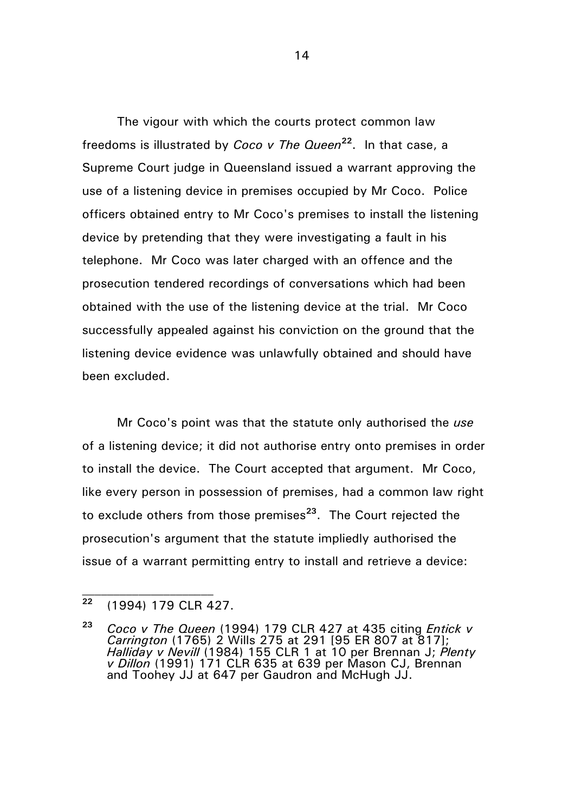The vigour with which the courts protect common law freedoms is illustrated by *Coco v The Queen***<sup>22</sup>** . In that case, a Supreme Court judge in Queensland issued a warrant approving the use of a listening device in premises occupied by Mr Coco. Police officers obtained entry to Mr Coco's premises to install the listening device by pretending that they were investigating a fault in his telephone. Mr Coco was later charged with an offence and the prosecution tendered recordings of conversations which had been obtained with the use of the listening device at the trial. Mr Coco successfully appealed against his conviction on the ground that the listening device evidence was unlawfully obtained and should have been excluded.

Mr Coco's point was that the statute only authorised the *use* of a listening device; it did not authorise entry onto premises in order to install the device. The Court accepted that argument. Mr Coco, like every person in possession of premises, had a common law right to exclude others from those premises**<sup>23</sup>** . The Court rejected the prosecution's argument that the statute impliedly authorised the issue of a warrant permitting entry to install and retrieve a device:

**<sup>22</sup>** (1994) 179 CLR 427.

**<sup>23</sup>** *Coco v The Queen* (1994) 179 CLR 427 at 435 citing *Entick v Carrington* (1765) 2 Wills 275 at 291 [95 ER 807 at 817]; *Halliday v Nevill* (1984) 155 CLR 1 at 10 per Brennan J; *Plenty v Dillon* (1991) 171 CLR 635 at 639 per Mason CJ, Brennan and Toohey JJ at 647 per Gaudron and McHugh JJ.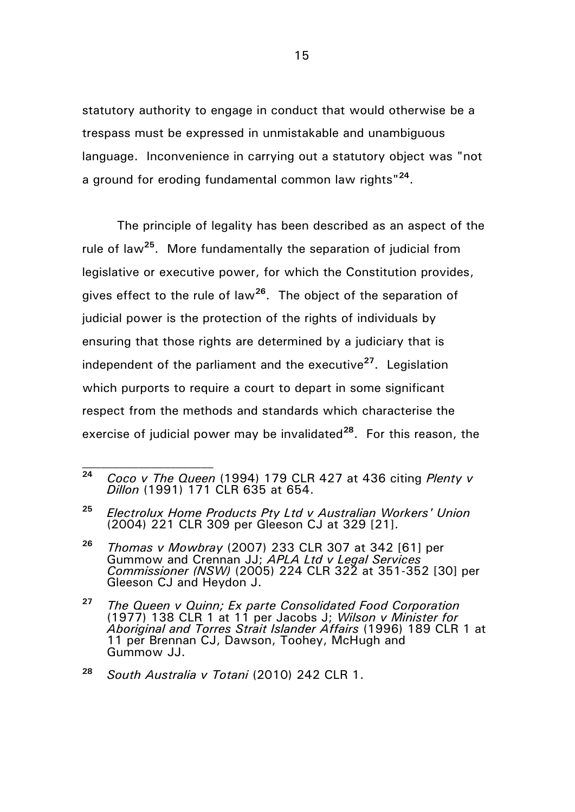statutory authority to engage in conduct that would otherwise be a trespass must be expressed in unmistakable and unambiguous language. Inconvenience in carrying out a statutory object was "not a ground for eroding fundamental common law rights"**<sup>24</sup>** .

The principle of legality has been described as an aspect of the rule of law**<sup>25</sup>** . More fundamentally the separation of judicial from legislative or executive power, for which the Constitution provides, gives effect to the rule of law**<sup>26</sup>** . The object of the separation of judicial power is the protection of the rights of individuals by ensuring that those rights are determined by a judiciary that is independent of the parliament and the executive**<sup>27</sup>** . Legislation which purports to require a court to depart in some significant respect from the methods and standards which characterise the exercise of judicial power may be invalidated**<sup>28</sup>**. For this reason, the

**<sup>24</sup>** *Coco v The Queen* (1994) 179 CLR 427 at 436 citing *Plenty v Dillon* (1991) 171 CLR 635 at 654.

**<sup>25</sup>** *Electrolux Home Products Pty Ltd v Australian Workers' Union* (2004) 221 CLR 309 per Gleeson CJ at 329 [21].

**<sup>26</sup>** *Thomas v Mowbray* (2007) 233 CLR 307 at 342 [61] per Gummow and Crennan JJ; *APLA Ltd v Legal Services Commissioner (NSW)* (2005) 224 CLR 322 at 351-352 [30] per Gleeson CJ and Heydon J.

**<sup>27</sup>** *The Queen v Quinn; Ex parte Consolidated Food Corporation* (1977) 138 CLR 1 at 11 per Jacobs J; *Wilson v Minister for Aboriginal and Torres Strait Islander Affairs* (1996) 189 CLR 1 at 11 per Brennan CJ, Dawson, Toohey, McHugh and Gummow JJ.

**<sup>28</sup>** *South Australia v Totani* (2010) 242 CLR 1.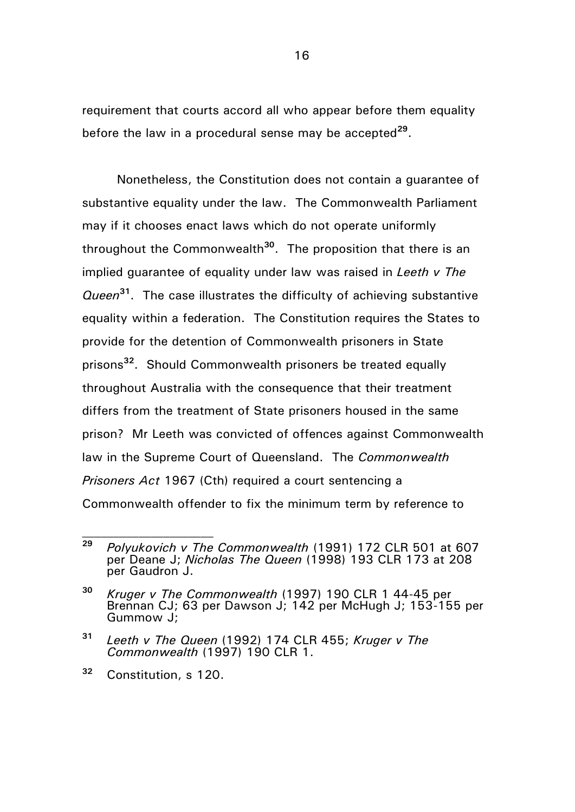requirement that courts accord all who appear before them equality before the law in a procedural sense may be accepted**<sup>29</sup>** .

Nonetheless, the Constitution does not contain a guarantee of substantive equality under the law. The Commonwealth Parliament may if it chooses enact laws which do not operate uniformly throughout the Commonwealth**<sup>30</sup>** . The proposition that there is an implied guarantee of equality under law was raised in *Leeth v The Queen***<sup>31</sup>** . The case illustrates the difficulty of achieving substantive equality within a federation. The Constitution requires the States to provide for the detention of Commonwealth prisoners in State prisons**<sup>32</sup>** . Should Commonwealth prisoners be treated equally throughout Australia with the consequence that their treatment differs from the treatment of State prisoners housed in the same prison? Mr Leeth was convicted of offences against Commonwealth law in the Supreme Court of Queensland. The *Commonwealth Prisoners Act* 1967 (Cth) required a court sentencing a Commonwealth offender to fix the minimum term by reference to

**<sup>29</sup>** *Polyukovich v The Commonwealth* (1991) 172 CLR 501 at 607 per Deane J; *Nicholas The Queen* (1998) 193 CLR 173 at 208 per Gaudron J.

**<sup>30</sup>** *Kruger v The Commonwealth* (1997) 190 CLR 1 44-45 per Brennan CJ; 63 per Dawson J; 142 per McHugh J; 153-155 per Gummow J;

**<sup>31</sup>** *Leeth v The Queen* (1992) 174 CLR 455; *Kruger v The Commonwealth* (1997) 190 CLR 1.

**<sup>32</sup>** Constitution, s 120.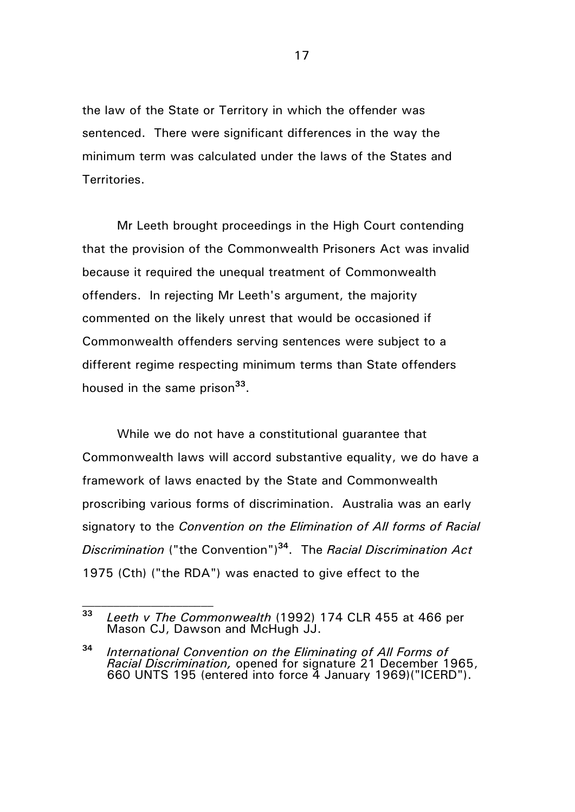the law of the State or Territory in which the offender was sentenced. There were significant differences in the way the minimum term was calculated under the laws of the States and Territories.

Mr Leeth brought proceedings in the High Court contending that the provision of the Commonwealth Prisoners Act was invalid because it required the unequal treatment of Commonwealth offenders. In rejecting Mr Leeth's argument, the majority commented on the likely unrest that would be occasioned if Commonwealth offenders serving sentences were subject to a different regime respecting minimum terms than State offenders housed in the same prison**<sup>33</sup>** .

While we do not have a constitutional guarantee that Commonwealth laws will accord substantive equality, we do have a framework of laws enacted by the State and Commonwealth proscribing various forms of discrimination. Australia was an early signatory to the *Convention on the Elimination of All forms of Racial Discrimination* ("the Convention")**<sup>34</sup>**. The *Racial Discrimination Act* 1975 (Cth) ("the RDA") was enacted to give effect to the

**<sup>33</sup>** *Leeth v The Commonwealth* (1992) 174 CLR 455 at 466 per Mason CJ, Dawson and McHugh JJ.

**<sup>34</sup>** *International Convention on the Eliminating of All Forms of Racial Discrimination,* opened for signature 21 December 1965, 660 UNTS 195 (entered into force 4 January 1969)("ICERD").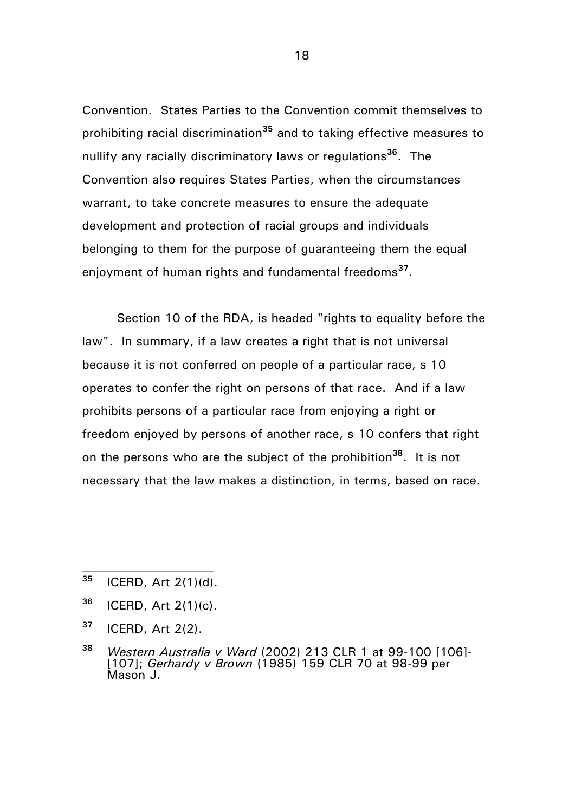Convention. States Parties to the Convention commit themselves to prohibiting racial discrimination**<sup>35</sup>** and to taking effective measures to nullify any racially discriminatory laws or regulations**<sup>36</sup>**. The Convention also requires States Parties, when the circumstances warrant, to take concrete measures to ensure the adequate development and protection of racial groups and individuals belonging to them for the purpose of guaranteeing them the equal enjoyment of human rights and fundamental freedoms**<sup>37</sup>** .

Section 10 of the RDA, is headed "rights to equality before the law". In summary, if a law creates a right that is not universal because it is not conferred on people of a particular race, s 10 operates to confer the right on persons of that race. And if a law prohibits persons of a particular race from enjoying a right or freedom enjoyed by persons of another race, s 10 confers that right on the persons who are the subject of the prohibition**<sup>38</sup>** . It is not necessary that the law makes a distinction, in terms, based on race.

- **<sup>37</sup>** ICERD, Art 2(2).
- **<sup>38</sup>** *Western Australia v Ward* (2002) 213 CLR 1 at 99-100 [106]- [107]; *Gerhardy v Brown* (1985) 159 CLR 70 at 98-99 per Mason J.

**<sup>35</sup>** ICERD, Art 2(1)(d).

**<sup>36</sup>** ICERD, Art 2(1)(c).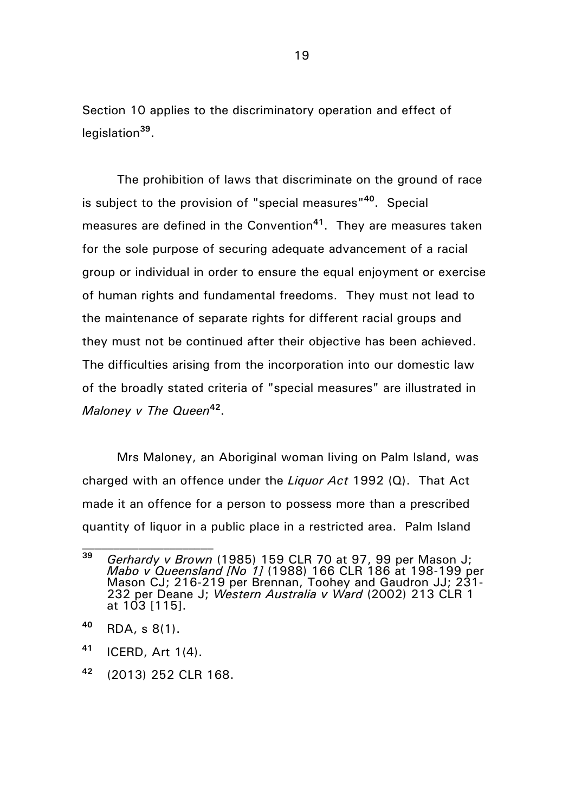Section 10 applies to the discriminatory operation and effect of legislation**<sup>39</sup>** .

The prohibition of laws that discriminate on the ground of race is subject to the provision of "special measures" **<sup>40</sup>**. Special measures are defined in the Convention**<sup>41</sup>**. They are measures taken for the sole purpose of securing adequate advancement of a racial group or individual in order to ensure the equal enjoyment or exercise of human rights and fundamental freedoms. They must not lead to the maintenance of separate rights for different racial groups and they must not be continued after their objective has been achieved. The difficulties arising from the incorporation into our domestic law of the broadly stated criteria of "special measures" are illustrated in *Maloney v The Queen***<sup>42</sup>** .

Mrs Maloney, an Aboriginal woman living on Palm Island, was charged with an offence under the *Liquor Act* 1992 (Q). That Act made it an offence for a person to possess more than a prescribed quantity of liquor in a public place in a restricted area. Palm Island

**<sup>39</sup>** *Gerhardy v Brown* (1985) 159 CLR 70 at 97, 99 per Mason J; *Mabo v Queensland [No 1]* (1988) 166 CLR 186 at 198-199 per Mason CJ; 216-219 per Brennan, Toohey and Gaudron JJ; 231- 232 per Deane J; *Western Australia v Ward* (2002) 213 CLR 1 at 103 [115].

**<sup>40</sup>** RDA, s 8(1).

**<sup>41</sup>** ICERD, Art 1(4).

**<sup>42</sup>** (2013) 252 CLR 168.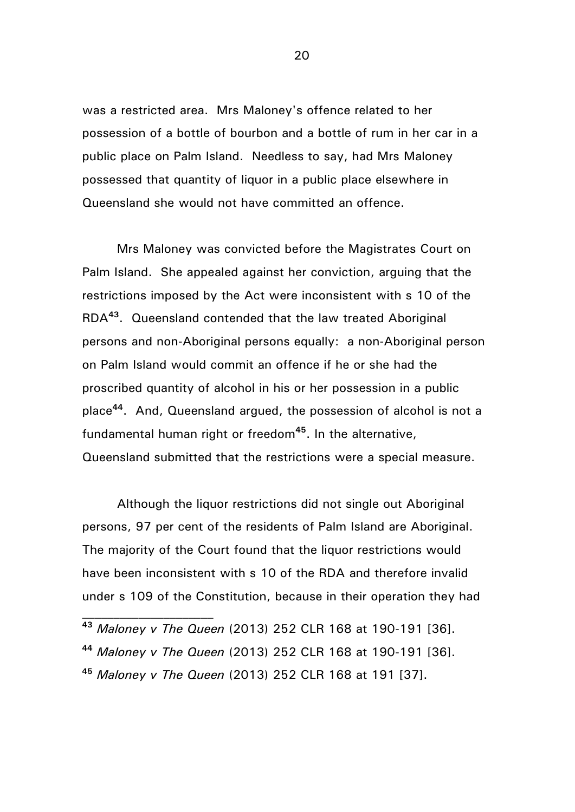was a restricted area. Mrs Maloney's offence related to her possession of a bottle of bourbon and a bottle of rum in her car in a public place on Palm Island. Needless to say, had Mrs Maloney possessed that quantity of liquor in a public place elsewhere in Queensland she would not have committed an offence.

Mrs Maloney was convicted before the Magistrates Court on Palm Island. She appealed against her conviction, arguing that the restrictions imposed by the Act were inconsistent with s 10 of the RDA**<sup>43</sup>** . Queensland contended that the law treated Aboriginal persons and non-Aboriginal persons equally: a non-Aboriginal person on Palm Island would commit an offence if he or she had the proscribed quantity of alcohol in his or her possession in a public place**<sup>44</sup>** . And, Queensland argued, the possession of alcohol is not a fundamental human right or freedom**<sup>45</sup>** . In the alternative, Queensland submitted that the restrictions were a special measure.

Although the liquor restrictions did not single out Aboriginal persons, 97 per cent of the residents of Palm Island are Aboriginal. The majority of the Court found that the liquor restrictions would have been inconsistent with s 10 of the RDA and therefore invalid under s 109 of the Constitution, because in their operation they had

- **<sup>43</sup>** *Maloney v The Queen* (2013) 252 CLR 168 at 190-191 [36].
- **<sup>44</sup>** *Maloney v The Queen* (2013) 252 CLR 168 at 190-191 [36].
- **<sup>45</sup>** *Maloney v The Queen* (2013) 252 CLR 168 at 191 [37].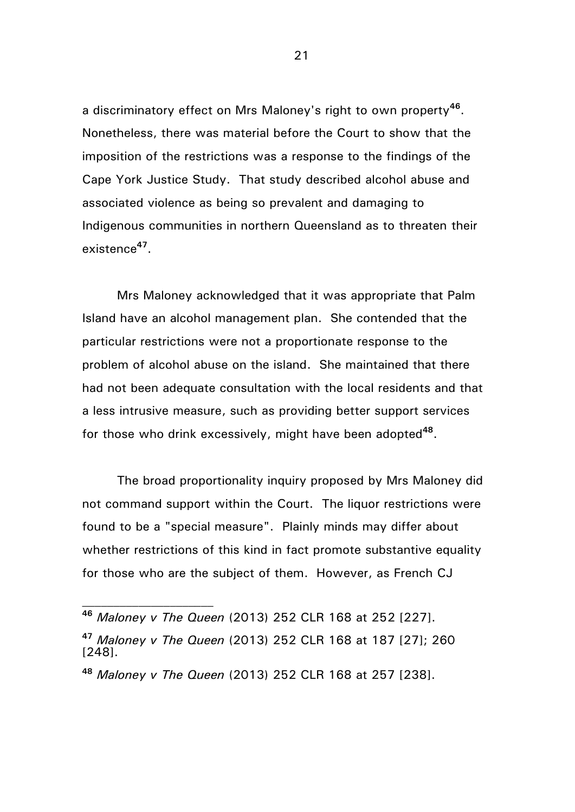a discriminatory effect on Mrs Maloney's right to own property**<sup>46</sup>** . Nonetheless, there was material before the Court to show that the imposition of the restrictions was a response to the findings of the Cape York Justice Study. That study described alcohol abuse and associated violence as being so prevalent and damaging to Indigenous communities in northern Queensland as to threaten their existence**<sup>47</sup>** .

Mrs Maloney acknowledged that it was appropriate that Palm Island have an alcohol management plan. She contended that the particular restrictions were not a proportionate response to the problem of alcohol abuse on the island. She maintained that there had not been adequate consultation with the local residents and that a less intrusive measure, such as providing better support services for those who drink excessively, might have been adopted**<sup>48</sup>** .

The broad proportionality inquiry proposed by Mrs Maloney did not command support within the Court. The liquor restrictions were found to be a "special measure". Plainly minds may differ about whether restrictions of this kind in fact promote substantive equality for those who are the subject of them. However, as French CJ

**<sup>46</sup>** *Maloney v The Queen* (2013) 252 CLR 168 at 252 [227].

**<sup>47</sup>** *Maloney v The Queen* (2013) 252 CLR 168 at 187 [27]; 260 [248].

**<sup>48</sup>** *Maloney v The Queen* (2013) 252 CLR 168 at 257 [238].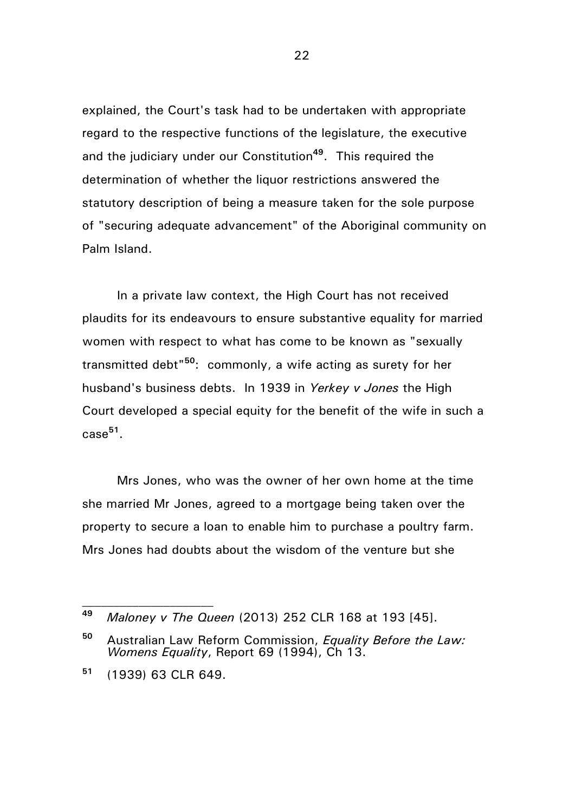explained, the Court's task had to be undertaken with appropriate regard to the respective functions of the legislature, the executive and the judiciary under our Constitution**<sup>49</sup>** . This required the determination of whether the liquor restrictions answered the statutory description of being a measure taken for the sole purpose of "securing adequate advancement" of the Aboriginal community on Palm Island.

In a private law context, the High Court has not received plaudits for its endeavours to ensure substantive equality for married women with respect to what has come to be known as "sexually transmitted debt"**<sup>50</sup>**: commonly, a wife acting as surety for her husband's business debts. In 1939 in *Yerkey v Jones* the High Court developed a special equity for the benefit of the wife in such a case**<sup>51</sup>** .

Mrs Jones, who was the owner of her own home at the time she married Mr Jones, agreed to a mortgage being taken over the property to secure a loan to enable him to purchase a poultry farm. Mrs Jones had doubts about the wisdom of the venture but she

**<sup>49</sup>** *Maloney v The Queen* (2013) 252 CLR 168 at 193 [45].

**<sup>50</sup>** Australian Law Reform Commission, *Equality Before the Law: Womens Equality*, Report 69 (1994), Ch 13.

**<sup>51</sup>** (1939) 63 CLR 649.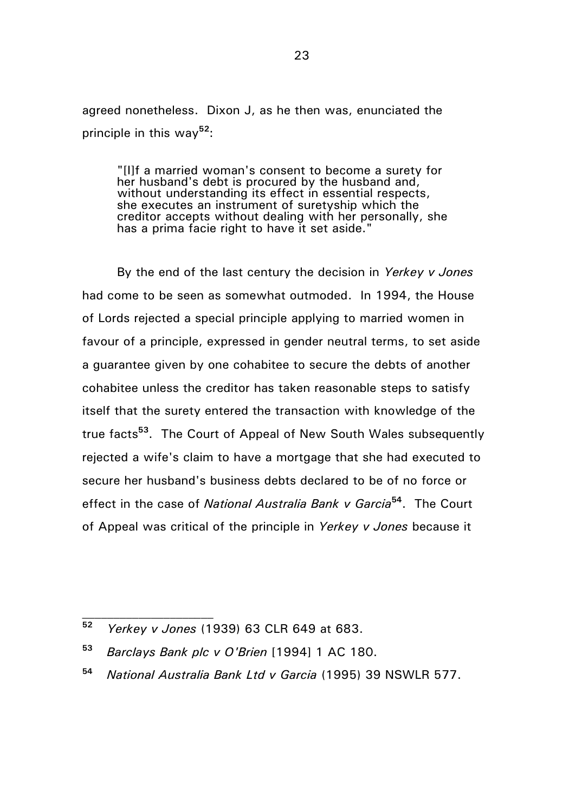agreed nonetheless. Dixon J, as he then was, enunciated the principle in this way**<sup>52</sup>**:

"[I]f a married woman's consent to become a surety for her husband's debt is procured by the husband and, without understanding its effect in essential respects, she executes an instrument of suretyship which the creditor accepts without dealing with her personally, she has a prima facie right to have it set aside."

By the end of the last century the decision in *Yerkey v Jones* had come to be seen as somewhat outmoded. In 1994, the House of Lords rejected a special principle applying to married women in favour of a principle, expressed in gender neutral terms, to set aside a guarantee given by one cohabitee to secure the debts of another cohabitee unless the creditor has taken reasonable steps to satisfy itself that the surety entered the transaction with knowledge of the true facts**<sup>53</sup>** . The Court of Appeal of New South Wales subsequently rejected a wife's claim to have a mortgage that she had executed to secure her husband's business debts declared to be of no force or effect in the case of *National Australia Bank v Garcia***<sup>54</sup>**. The Court of Appeal was critical of the principle in *Yerkey v Jones* because it

**<sup>52</sup>** *Yerkey v Jones* (1939) 63 CLR 649 at 683.

**<sup>53</sup>** *Barclays Bank plc v O'Brien* [1994] 1 AC 180.

**<sup>54</sup>** *National Australia Bank Ltd v Garcia* (1995) 39 NSWLR 577.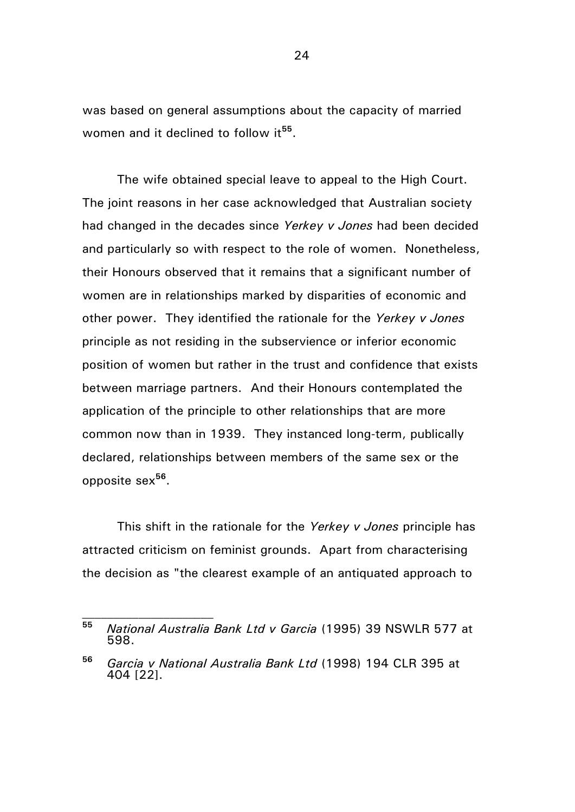was based on general assumptions about the capacity of married women and it declined to follow it<sup>55</sup>.

The wife obtained special leave to appeal to the High Court. The joint reasons in her case acknowledged that Australian society had changed in the decades since *Yerkey v Jones* had been decided and particularly so with respect to the role of women. Nonetheless, their Honours observed that it remains that a significant number of women are in relationships marked by disparities of economic and other power. They identified the rationale for the *Yerkey v Jones* principle as not residing in the subservience or inferior economic position of women but rather in the trust and confidence that exists between marriage partners. And their Honours contemplated the application of the principle to other relationships that are more common now than in 1939. They instanced long-term, publically declared, relationships between members of the same sex or the opposite sex**<sup>56</sup>** .

This shift in the rationale for the *Yerkey v Jones* principle has attracted criticism on feminist grounds. Apart from characterising the decision as "the clearest example of an antiquated approach to

**<sup>55</sup>** *National Australia Bank Ltd v Garcia* (1995) 39 NSWLR 577 at 598.

**<sup>56</sup>** *Garcia v National Australia Bank Ltd* (1998) 194 CLR 395 at 404 [22].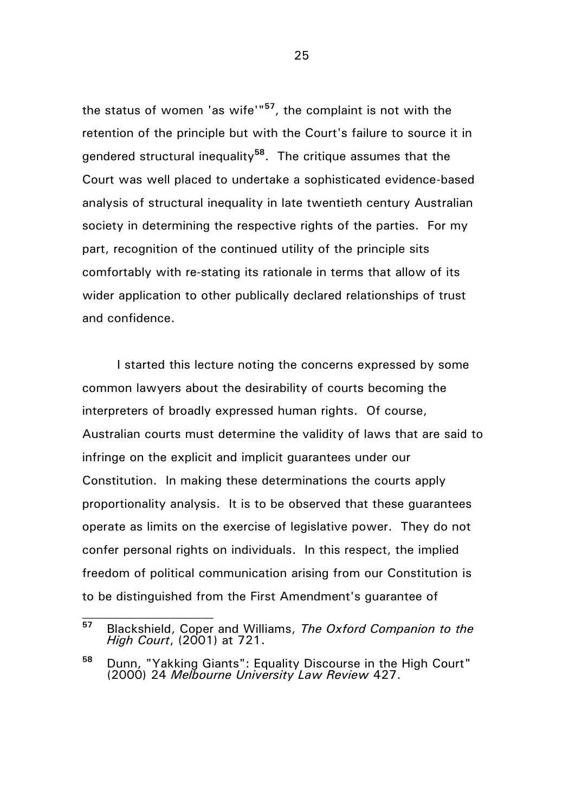the status of women 'as wife'"**<sup>57</sup>**, the complaint is not with the retention of the principle but with the Court's failure to source it in gendered structural inequality**<sup>58</sup>** . The critique assumes that the Court was well placed to undertake a sophisticated evidence-based analysis of structural inequality in late twentieth century Australian society in determining the respective rights of the parties. For my part, recognition of the continued utility of the principle sits comfortably with re-stating its rationale in terms that allow of its wider application to other publically declared relationships of trust and confidence.

I started this lecture noting the concerns expressed by some common lawyers about the desirability of courts becoming the interpreters of broadly expressed human rights. Of course, Australian courts must determine the validity of laws that are said to infringe on the explicit and implicit guarantees under our Constitution. In making these determinations the courts apply proportionality analysis. It is to be observed that these guarantees operate as limits on the exercise of legislative power. They do not confer personal rights on individuals. In this respect, the implied freedom of political communication arising from our Constitution is to be distinguished from the First Amendment's guarantee of

**<sup>57</sup>** Blackshield, Coper and Williams, *The Oxford Companion to the High Court*, (2001) at 721.

**<sup>58</sup>** Dunn, "Yakking Giants": Equality Discourse in the High Court" (2000) 24 *Melbourne University Law Review* 427.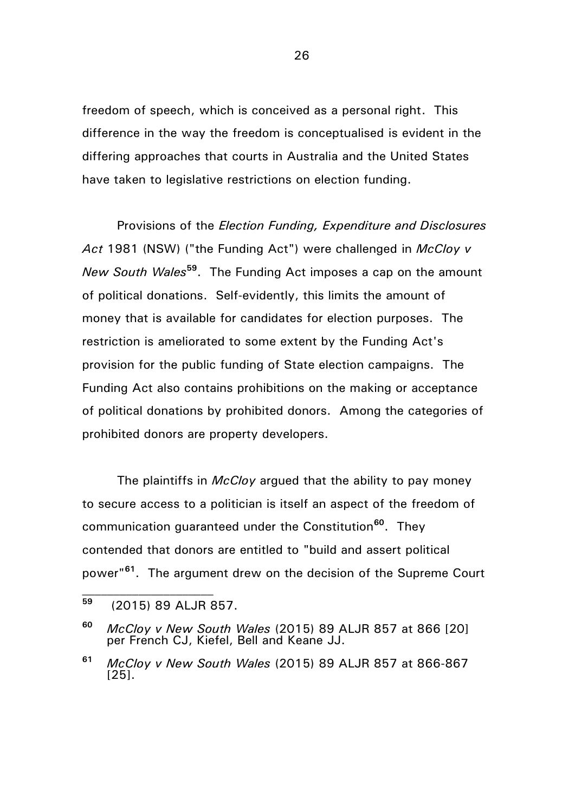freedom of speech, which is conceived as a personal right. This difference in the way the freedom is conceptualised is evident in the differing approaches that courts in Australia and the United States have taken to legislative restrictions on election funding.

Provisions of the *Election Funding, Expenditure and Disclosures Act* 1981 (NSW) ("the Funding Act") were challenged in *McCloy v New South Wales***<sup>59</sup>** . The Funding Act imposes a cap on the amount of political donations. Self-evidently, this limits the amount of money that is available for candidates for election purposes. The restriction is ameliorated to some extent by the Funding Act's provision for the public funding of State election campaigns. The Funding Act also contains prohibitions on the making or acceptance of political donations by prohibited donors. Among the categories of prohibited donors are property developers.

The plaintiffs in *McCloy* argued that the ability to pay money to secure access to a politician is itself an aspect of the freedom of communication guaranteed under the Constitution**<sup>60</sup>** . They contended that donors are entitled to "build and assert political power"**<sup>61</sup>**. The argument drew on the decision of the Supreme Court

**<sup>59</sup>** (2015) 89 ALJR 857.

**<sup>60</sup>** *McCloy v New South Wales* (2015) 89 ALJR 857 at 866 [20] per French CJ, Kiefel, Bell and Keane JJ.

**<sup>61</sup>** *McCloy v New South Wales* (2015) 89 ALJR 857 at 866-867 [25].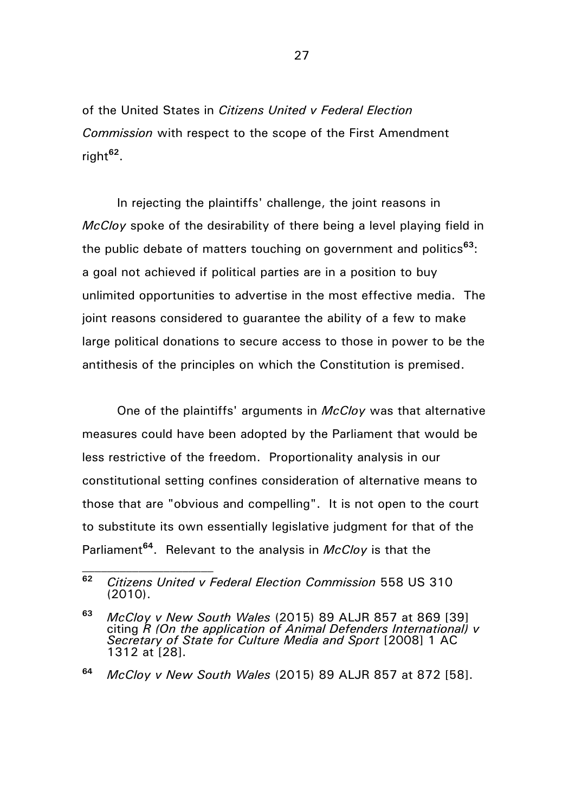of the United States in *Citizens United v Federal Election Commission* with respect to the scope of the First Amendment right**<sup>62</sup>** .

In rejecting the plaintiffs' challenge, the joint reasons in *McCloy* spoke of the desirability of there being a level playing field in the public debate of matters touching on government and politics**<sup>63</sup>**: a goal not achieved if political parties are in a position to buy unlimited opportunities to advertise in the most effective media. The joint reasons considered to guarantee the ability of a few to make large political donations to secure access to those in power to be the antithesis of the principles on which the Constitution is premised.

One of the plaintiffs' arguments in *McCloy* was that alternative measures could have been adopted by the Parliament that would be less restrictive of the freedom. Proportionality analysis in our constitutional setting confines consideration of alternative means to those that are "obvious and compelling". It is not open to the court to substitute its own essentially legislative judgment for that of the Parliament**<sup>64</sup>** . Relevant to the analysis in *McCloy* is that the

**<sup>62</sup>** *Citizens United v Federal Election Commission* 558 US 310 (2010).

**<sup>63</sup>** *McCloy v New South Wales* (2015) 89 ALJR 857 at 869 [39] citing *R (On the application of Animal Defenders International) v Secretary of State for Culture Media and Sport* [2008] 1 AC 1312 at [28].

**<sup>64</sup>** *McCloy v New South Wales* (2015) 89 ALJR 857 at 872 [58].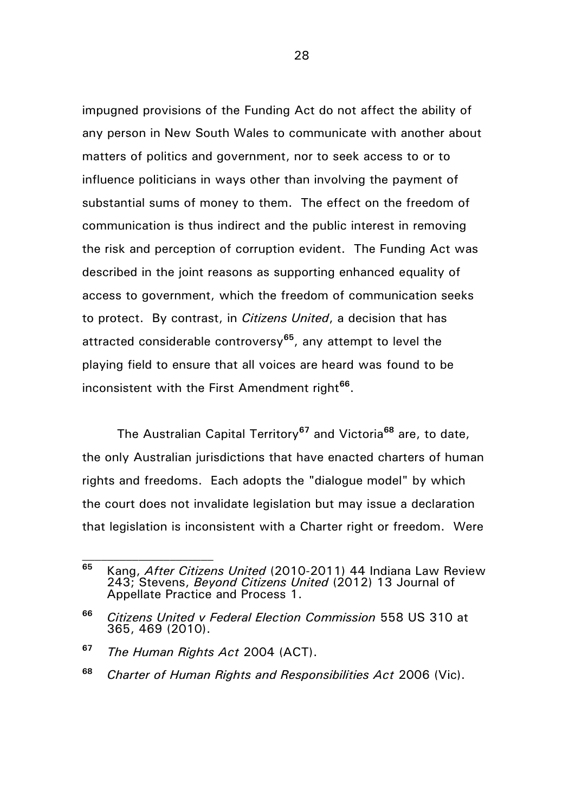impugned provisions of the Funding Act do not affect the ability of any person in New South Wales to communicate with another about matters of politics and government, nor to seek access to or to influence politicians in ways other than involving the payment of substantial sums of money to them. The effect on the freedom of communication is thus indirect and the public interest in removing the risk and perception of corruption evident. The Funding Act was described in the joint reasons as supporting enhanced equality of access to government, which the freedom of communication seeks to protect. By contrast, in *Citizens United*, a decision that has attracted considerable controversy**<sup>65</sup>**, any attempt to level the playing field to ensure that all voices are heard was found to be inconsistent with the First Amendment right**<sup>66</sup>** .

The Australian Capital Territory**<sup>67</sup>** and Victoria**<sup>68</sup>** are, to date, the only Australian jurisdictions that have enacted charters of human rights and freedoms. Each adopts the "dialogue model" by which the court does not invalidate legislation but may issue a declaration that legislation is inconsistent with a Charter right or freedom. Were

**<sup>65</sup>** Kang, *After Citizens United* (2010-2011) 44 Indiana Law Review 243; Stevens, *Beyond Citizens United* (2012) 13 Journal of Appellate Practice and Process 1.

**<sup>66</sup>** *Citizens United v Federal Election Commission* 558 US 310 at 365, 469 (2010).

**<sup>67</sup>** *The Human Rights Act* 2004 (ACT).

**<sup>68</sup>** *Charter of Human Rights and Responsibilities Act* 2006 (Vic).